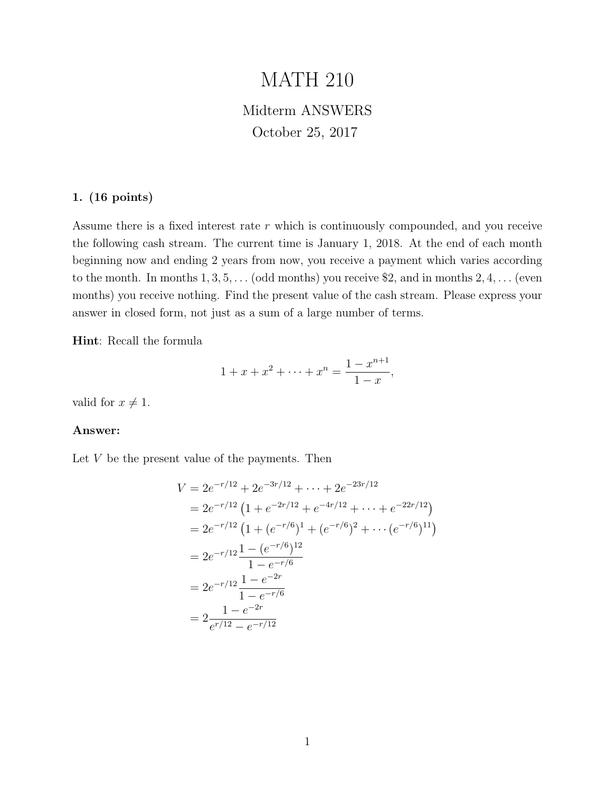# MATH 210

# Midterm ANSWERS October 25, 2017

# 1. (16 points)

Assume there is a fixed interest rate r which is continuously compounded, and you receive the following cash stream. The current time is January 1, 2018. At the end of each month beginning now and ending 2 years from now, you receive a payment which varies according to the month. In months  $1, 3, 5, \ldots$  (odd months) you receive \$2, and in months  $2, 4, \ldots$  (even months) you receive nothing. Find the present value of the cash stream. Please express your answer in closed form, not just as a sum of a large number of terms.

Hint: Recall the formula

$$
1 + x + x2 + \dots + xn = \frac{1 - x^{n+1}}{1 - x},
$$

valid for  $x \neq 1$ .

# Answer:

Let  $V$  be the present value of the payments. Then

$$
V = 2e^{-r/12} + 2e^{-3r/12} + \dots + 2e^{-23r/12}
$$
  
=  $2e^{-r/12} (1 + e^{-2r/12} + e^{-4r/12} + \dots + e^{-22r/12})$   
=  $2e^{-r/12} (1 + (e^{-r/6})^1 + (e^{-r/6})^2 + \dots + (e^{-r/6})^{11})$   
=  $2e^{-r/12} \frac{1 - (e^{-r/6})^{12}}{1 - e^{-r/6}}$   
=  $2e^{-r/12} \frac{1 - e^{-2r}}{1 - e^{-r/6}}$   
=  $2 \frac{1 - e^{-2r}}{e^{r/12} - e^{-r/12}}$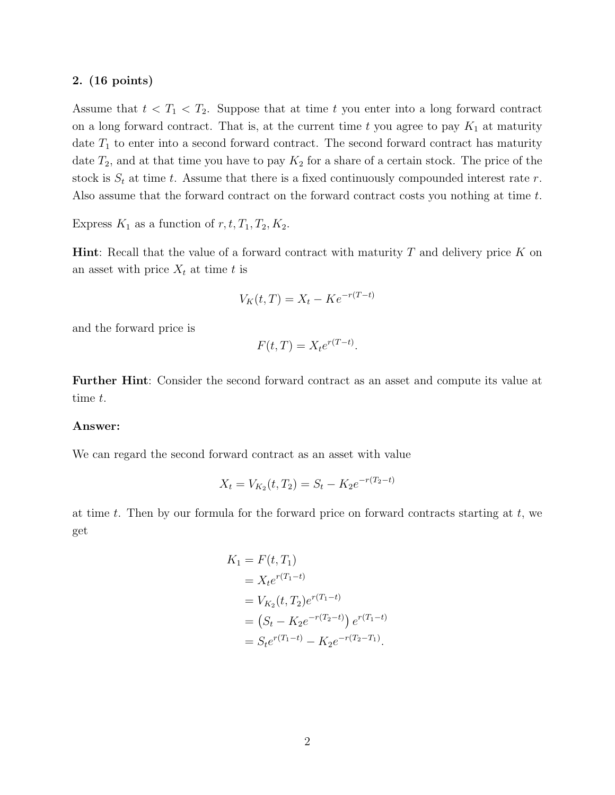Assume that  $t < T_1 < T_2$ . Suppose that at time t you enter into a long forward contract on a long forward contract. That is, at the current time t you agree to pay  $K_1$  at maturity date  $T_1$  to enter into a second forward contract. The second forward contract has maturity date  $T_2$ , and at that time you have to pay  $K_2$  for a share of a certain stock. The price of the stock is  $S_t$  at time t. Assume that there is a fixed continuously compounded interest rate r. Also assume that the forward contract on the forward contract costs you nothing at time t.

Express  $K_1$  as a function of  $r, t, T_1, T_2, K_2$ .

**Hint**: Recall that the value of a forward contract with maturity  $T$  and delivery price  $K$  on an asset with price  $X_t$  at time t is

$$
V_K(t,T) = X_t - Ke^{-r(T-t)}
$$

and the forward price is

$$
F(t,T) = X_t e^{r(T-t)}.
$$

Further Hint: Consider the second forward contract as an asset and compute its value at time t.

#### Answer:

We can regard the second forward contract as an asset with value

$$
X_t = V_{K_2}(t, T_2) = S_t - K_2 e^{-r(T_2 - t)}
$$

at time t. Then by our formula for the forward price on forward contracts starting at  $t$ , we get

$$
K_1 = F(t, T_1)
$$
  
=  $X_t e^{r(T_1 - t)}$   
=  $V_{K_2}(t, T_2) e^{r(T_1 - t)}$   
=  $(S_t - K_2 e^{-r(T_2 - t)}) e^{r(T_1 - t)}$   
=  $S_t e^{r(T_1 - t)} - K_2 e^{-r(T_2 - T_1)}$ .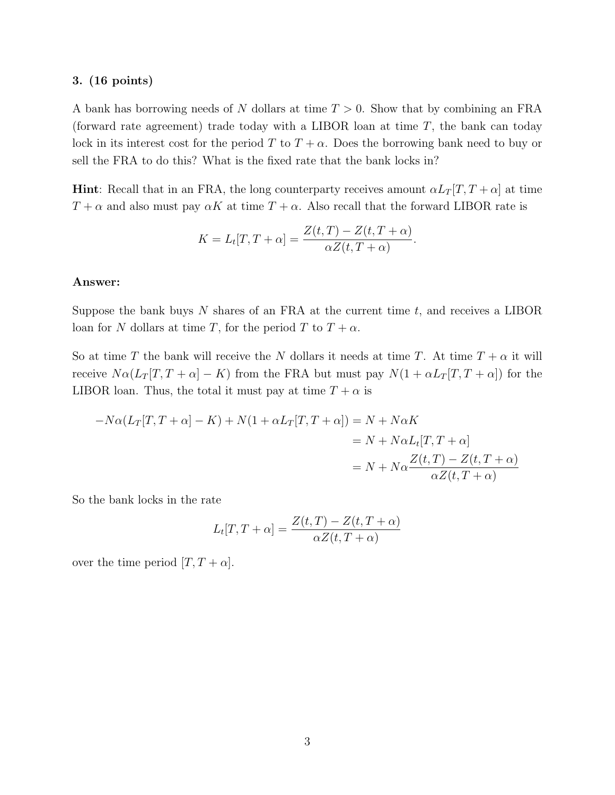A bank has borrowing needs of N dollars at time  $T > 0$ . Show that by combining an FRA (forward rate agreement) trade today with a LIBOR loan at time  $T$ , the bank can today lock in its interest cost for the period T to  $T + \alpha$ . Does the borrowing bank need to buy or sell the FRA to do this? What is the fixed rate that the bank locks in?

**Hint**: Recall that in an FRA, the long counterparty receives amount  $\alpha L_T[T, T + \alpha]$  at time  $T + \alpha$  and also must pay  $\alpha K$  at time  $T + \alpha$ . Also recall that the forward LIBOR rate is

$$
K = L_t[T, T + \alpha] = \frac{Z(t, T) - Z(t, T + \alpha)}{\alpha Z(t, T + \alpha)}.
$$

### Answer:

Suppose the bank buys  $N$  shares of an FRA at the current time  $t$ , and receives a LIBOR loan for N dollars at time T, for the period T to  $T + \alpha$ .

So at time T the bank will receive the N dollars it needs at time T. At time  $T + \alpha$  it will receive  $N\alpha(L_T[T, T + \alpha] - K)$  from the FRA but must pay  $N(1 + \alpha L_T[T, T + \alpha])$  for the LIBOR loan. Thus, the total it must pay at time  $T + \alpha$  is

$$
-N\alpha(L_T[T, T + \alpha] - K) + N(1 + \alpha L_T[T, T + \alpha]) = N + N\alpha K
$$
  
= N + N\alpha L\_t[T, T + \alpha]  
= N + N\alpha \frac{Z(t, T) - Z(t, T + \alpha)}{\alpha Z(t, T + \alpha)}

So the bank locks in the rate

$$
L_t[T, T + \alpha] = \frac{Z(t, T) - Z(t, T + \alpha)}{\alpha Z(t, T + \alpha)}
$$

over the time period  $[T, T + \alpha]$ .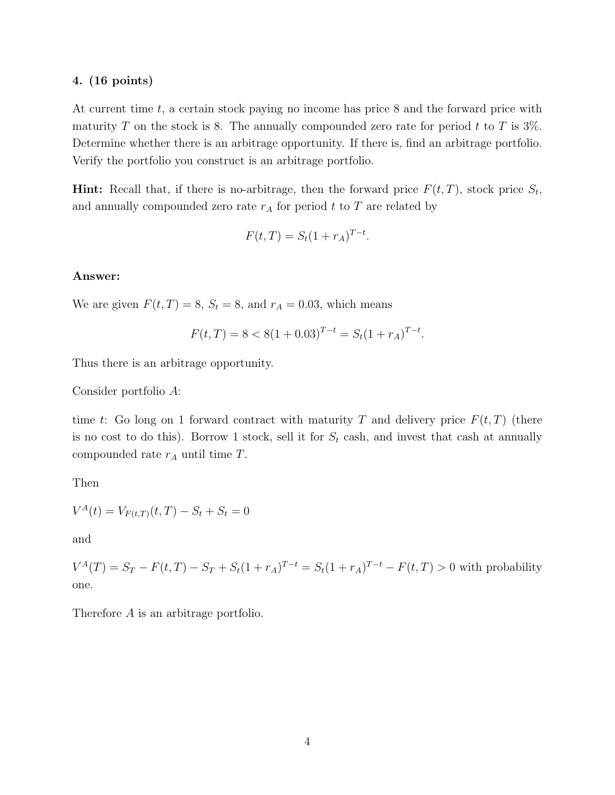At current time t, a certain stock paying no income has price 8 and the forward price with maturity T on the stock is 8. The annually compounded zero rate for period t to T is  $3\%$ . Determine whether there is an arbitrage opportunity. If there is, find an arbitrage portfolio. Verify the portfolio you construct is an arbitrage portfolio.

**Hint:** Recall that, if there is no-arbitrage, then the forward price  $F(t,T)$ , stock price  $S_t$ , and annually compounded zero rate  $r_A$  for period t to T are related by

$$
F(t, T) = S_t (1 + r_A)^{T - t}.
$$

# Answer:

We are given  $F(t, T) = 8$ ,  $S_t = 8$ , and  $r_A = 0.03$ , which means

$$
F(t,T) = 8 < 8(1+0.03)^{T-t} = S_t(1+r_A)^{T-t}.
$$

Thus there is an arbitrage opportunity.

Consider portfolio A:

time t: Go long on 1 forward contract with maturity T and delivery price  $F(t, T)$  (there is no cost to do this). Borrow 1 stock, sell it for  $S_t$  cash, and invest that cash at annually compounded rate  $r_A$  until time  $T$ .

Then

$$
V^{A}(t) = V_{F(t,T)}(t, T) - S_t + S_t = 0
$$

and

 $V^{A}(T) = S_T - F(t,T) - S_T + S_t(1+r_A)^{T-t} = S_t(1+r_A)^{T-t} - F(t,T) > 0$  with probability one.

Therefore A is an arbitrage portfolio.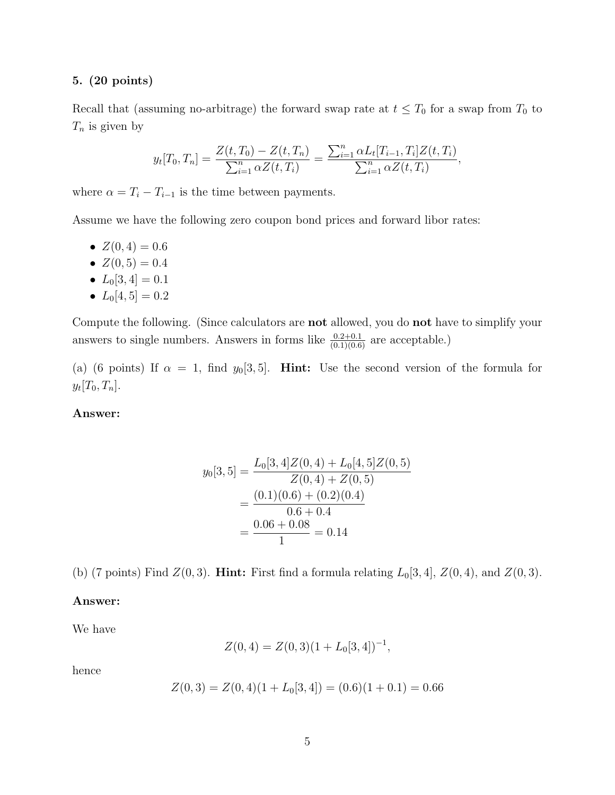# 5. (20 points)

Recall that (assuming no-arbitrage) the forward swap rate at  $t \leq T_0$  for a swap from  $T_0$  to  $T_n$  is given by

$$
y_t[T_0, T_n] = \frac{Z(t, T_0) - Z(t, T_n)}{\sum_{i=1}^n \alpha Z(t, T_i)} = \frac{\sum_{i=1}^n \alpha L_t[T_{i-1}, T_i] Z(t, T_i)}{\sum_{i=1}^n \alpha Z(t, T_i)},
$$

where  $\alpha = T_i - T_{i-1}$  is the time between payments.

Assume we have the following zero coupon bond prices and forward libor rates:

- $Z(0,4) = 0.6$
- $Z(0,5) = 0.4$
- $L_0[3,4] = 0.1$
- $L_0[4, 5] = 0.2$

Compute the following. (Since calculators are not allowed, you do not have to simplify your answers to single numbers. Answers in forms like  $\frac{0.2+0.1}{(0.1)(0.6)}$  are acceptable.)

(a) (6 points) If  $\alpha = 1$ , find  $y_0[3, 5]$ . **Hint:** Use the second version of the formula for  $y_t[T_0, T_n].$ 

# Answer:

$$
y_0[3, 5] = \frac{L_0[3, 4]Z(0, 4) + L_0[4, 5]Z(0, 5)}{Z(0, 4) + Z(0, 5)}
$$
  
= 
$$
\frac{(0.1)(0.6) + (0.2)(0.4)}{0.6 + 0.4}
$$
  
= 
$$
\frac{0.06 + 0.08}{1} = 0.14
$$

(b) (7 points) Find  $Z(0,3)$ . **Hint:** First find a formula relating  $L_0[3,4]$ ,  $Z(0,4)$ , and  $Z(0,3)$ .

#### Answer:

We have

$$
Z(0,4) = Z(0,3)(1 + L_0[3,4])^{-1},
$$

hence

$$
Z(0,3) = Z(0,4)(1 + L_0[3,4]) = (0.6)(1 + 0.1) = 0.66
$$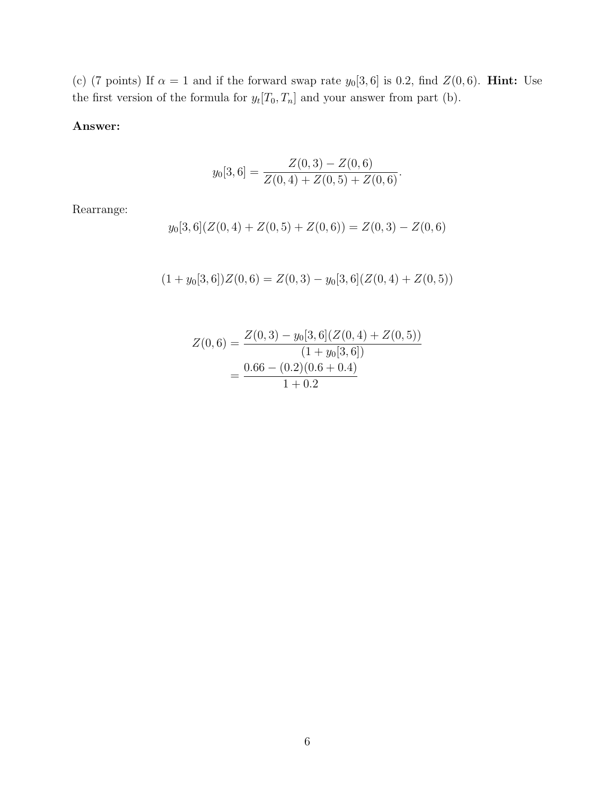(c) (7 points) If  $\alpha = 1$  and if the forward swap rate  $y_0[3, 6]$  is 0.2, find  $Z(0, 6)$ . **Hint:** Use the first version of the formula for  $y_t[T_0, T_n]$  and your answer from part (b).

# Answer:

$$
y_0[3, 6] = \frac{Z(0, 3) - Z(0, 6)}{Z(0, 4) + Z(0, 5) + Z(0, 6)}.
$$

Rearrange:

$$
y_0[3,6](Z(0,4) + Z(0,5) + Z(0,6)) = Z(0,3) - Z(0,6)
$$

$$
(1 + y0[3, 6])Z(0, 6) = Z(0, 3) - y0[3, 6](Z(0, 4) + Z(0, 5))
$$

$$
Z(0,6) = \frac{Z(0,3) - y_0[3,6](Z(0,4) + Z(0,5))}{(1 + y_0[3,6])}
$$
  
= 
$$
\frac{0.66 - (0.2)(0.6 + 0.4)}{1 + 0.2}
$$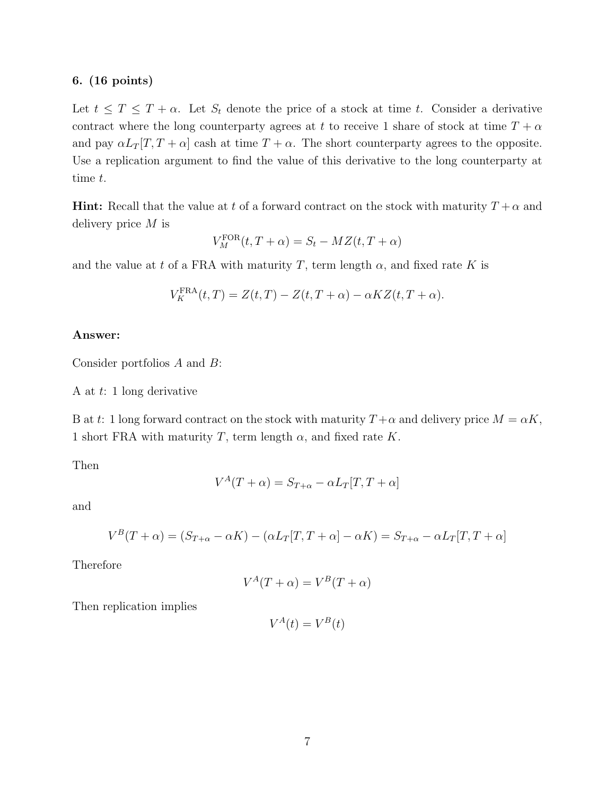Let  $t \leq T \leq T + \alpha$ . Let  $S_t$  denote the price of a stock at time t. Consider a derivative contract where the long counterparty agrees at t to receive 1 share of stock at time  $T + \alpha$ and pay  $\alpha L_T[T, T + \alpha]$  cash at time  $T + \alpha$ . The short counterparty agrees to the opposite. Use a replication argument to find the value of this derivative to the long counterparty at time t.

**Hint:** Recall that the value at t of a forward contract on the stock with maturity  $T + \alpha$  and delivery price M is

$$
V_M^{\text{FOR}}(t, T + \alpha) = S_t - MZ(t, T + \alpha)
$$

and the value at t of a FRA with maturity T, term length  $\alpha$ , and fixed rate K is

$$
V_K^{\text{FRA}}(t,T) = Z(t,T) - Z(t,T+\alpha) - \alpha K Z(t,T+\alpha).
$$

#### Answer:

Consider portfolios A and B:

A at t: 1 long derivative

B at t: 1 long forward contract on the stock with maturity  $T+\alpha$  and delivery price  $M = \alpha K$ , 1 short FRA with maturity T, term length  $\alpha$ , and fixed rate K.

Then

$$
V^{A}(T+\alpha) = S_{T+\alpha} - \alpha L_{T}[T, T+\alpha]
$$

and

$$
V^{B}(T+\alpha) = (S_{T+\alpha} - \alpha K) - (\alpha L_{T}[T, T+\alpha] - \alpha K) = S_{T+\alpha} - \alpha L_{T}[T, T+\alpha]
$$

Therefore

$$
V^A(T + \alpha) = V^B(T + \alpha)
$$

Then replication implies

$$
V^A(t) = V^B(t)
$$